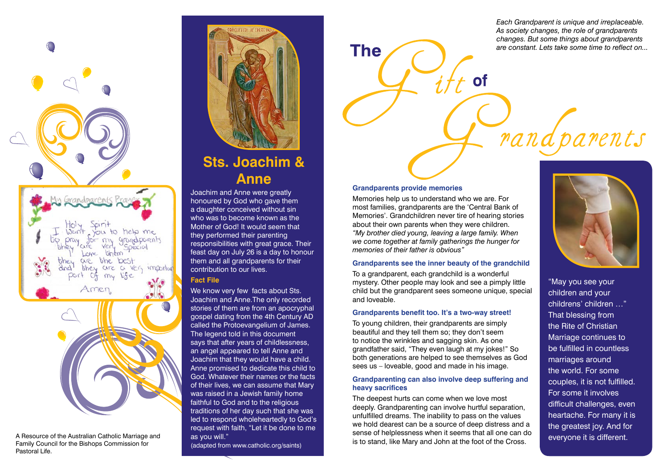

A Resource of the Australian Catholic Marriage and Family Council for the Bishops Commission for Pastoral Life.



# **Sts. Joachim & Anne**

Joachim and Anne were greatly honoured by God who gave them a daughter conceived without sin who was to become known as the Mother of God! It would seem that they performed their parenting responsibilities with great grace. Their feast day on July 26 is a day to honour them and all grandparents for their contribution to our lives.

# **Fact File**

We know very few facts about Sts. Joachim and Anne.The only recorded stories of them are from an apocryphal gospel dating from the 4th Century AD called the Protoevangelium of James. The legend told in this document says that after years of childlessness, an angel appeared to tell Anne and Joachim that they would have a child. Anne promised to dedicate this child to God. Whatever their names or the facts of their lives, we can assume that Mary was raised in a Jewish family home faithful to God and to the religious traditions of her day such that she was led to respond wholeheartedly to God's request with faith, "Let it be done to me as you will."

(adapted from www.catholic.org/saints)

*Each Grandparent is unique and irreplaceable. As society changes, the role of grandparents changes. But some things about grandparents are constant. Lets take some time to reflect on...*

randparents

#### **Grandparents provide memories**

**The** 

Memories help us to understand who we are. For most families, grandparents are the 'Central Bank of Memories'. Grandchildren never tire of hearing stories about their own parents when they were children. *"My brother died young, leaving a large family. When we come together at family gatherings the hunger for memories of their father is obvious"*

#### **Grandparents see the inner beauty of the grandchild**

To a grandparent, each grandchild is a wonderful mystery. Other people may look and see a pimply little child but the grandparent sees someone unique, special and loveable.

#### **Grandparents benefit too. It's a two-way street!**

To young children, their grandparents are simply beautiful and they tell them so; they don't seem to notice the wrinkles and sagging skin. As one grandfather said, "They even laugh at my jokes!" So both generations are helped to see themselves as God sees us – loveable, good and made in his image.

#### **Grandparenting can also involve deep suffering and heavy sacrifices**

The deepest hurts can come when we love most deeply. Grandparenting can involve hurtful separation, unfulfilled dreams. The inability to pass on the values we hold dearest can be a source of deep distress and a sense of helplessness when it seems that all one can do is to stand, like Mary and John at the foot of the Cross.



"May you see your children and your childrens' children …" That blessing from the Rite of Christian Marriage continues to be fulfilled in countless marriages around the world. For some couples, it is not fulfilled. For some it involves difficult challenges, even heartache. For many it is the greatest joy. And for everyone it is different.